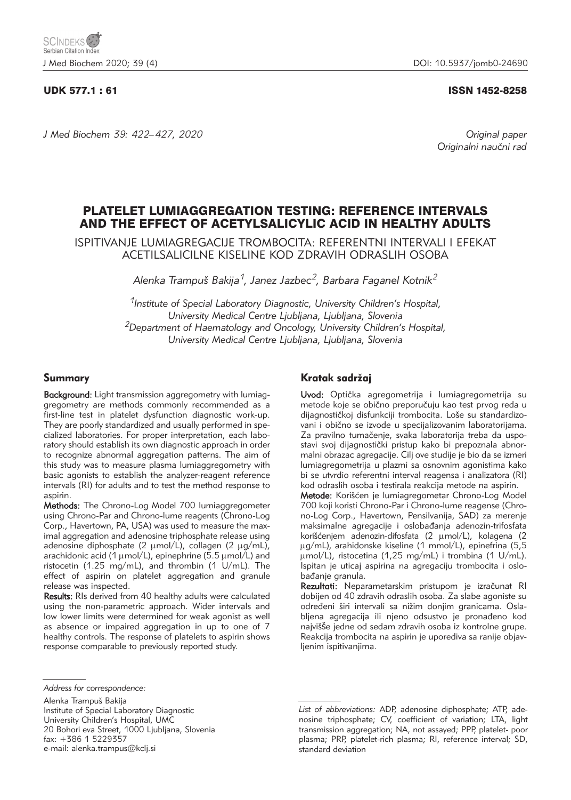# UDK 577.1 : 61 ISSN 1452-8258

*J Med Biochem 39: 422–427, 2020 Original paper*

Originalni naučni rad

# PLATELET LUMIAGGREGATION TESTING: REFERENCE INTERVALS AND THE EFFECT OF ACETYLSALICYLIC ACID IN HEALTHY ADULTS

ISPITIVANJE LUMIAGREGACIJE TROMBOCITA: REFERENTNI INTERVALI I EFEKAT ACETILSALICILNE KISELINE KOD ZDRAVIH ODRASLIH OSOBA

*Alenka Trampu{ Bakija1, Janez Jazbec2, Barbara Faganel Kotnik2*

*1Institute of Special Laboratory Diagnostic, University Children's Hospital, University Medical Centre Ljubljana, Ljubljana, Slovenia 2Department of Haematology and Oncology, University Children's Hospital, University Medical Centre Ljubljana, Ljubljana, Slovenia*

# Summary

Background: Light transmission aggregometry with lumiaggregometry are methods commonly recommended as a first-line test in platelet dysfunction diagnostic work-up. They are poorly standardized and usually performed in specialized laboratories. For proper interpretation, each laboratory should establish its own diagnostic approach in order to recognize abnormal aggregation patterns. The aim of this study was to measure plasma lumiaggregometry with basic agonists to establish the analyzer-reagent reference intervals (RI) for adults and to test the method response to aspirin.

Methods: The Chrono-Log Model 700 lumiaggregometer using Chrono-Par and Chrono-lume reagents (Chrono-Log Corp., Havertown, PA, USA) was used to measure the maximal aggregation and adenosine triphosphate release using adenosine diphosphate (2  $\mu$ mol/L), collagen (2  $\mu$ g/mL), arachidonic acid (1  $\mu$ mol/L), epinephrine (5.5  $\mu$ mol/L) and ristocetin (1.25 mg/mL), and thrombin (1 U/mL). The effect of aspirin on platelet aggregation and granule release was inspected.

Results: RIs derived from 40 healthy adults were calculated using the non-parametric approach. Wider intervals and low lower limits were determined for weak agonist as well as absence or impaired aggregation in up to one of 7 healthy controls. The response of platelets to aspirin shows response comparable to previously reported study.

Alenka Trampu{ Bakija Institute of Special Laboratory Diagnostic University Children's Hospital, UMC 20 Bohori eva Street, 1000 Ljubljana, Slovenia fax: +386 1 5229357 e-mail: alenka.trampus@kclj.si

# Kratak sadržaj

Uvod: Optička agregometrija i lumiagregometrija su metode koje se obično preporučuju kao test prvog reda u dijagnostičkoj disfunkciji trombocita. Loše su standardizovani i obično se izvode u specijalizovanim laboratorijama. Za pravilno tumačenje, svaka laboratorija treba da uspostavi svoj dijagnostički pristup kako bi prepoznala abnormalni obrazac agregacije. Cilj ove studije je bio da se izmeri lumiagregometrija u plazmi sa osnovnim agonistima kako bi se utvrdio referentni interval reagensa i analizatora (RI) kod odraslih osoba i testirala reakcija metode na aspirin.

Metode: Korišćen je lumiagregometar Chrono-Log Model 700 koji koristi Chrono-Par i Chrono-lume reagense (Chro no-Log Corp., Havertown, Pensilvanija, SAD) za merenje maksimalne agregacije i oslobađanja adenozin-trifosfata korišćenjem adenozin-difosfata (2 umol/L), kolagena (2 µg/mL), arahidonske kiseline (1 mmol/L), epinefrina (5,5 mmol/L), ristocetina (1,25 mg/mL) i trombina (1 U/mL). Ispitan je uticaj aspirina na agregaciju trombocita i oslobađanje granula.

Rezultati: Neparametarskim pristupom je izračunat RI dobijen od 40 zdravih odraslih osoba. Za slabe agoniste su određeni širi intervali sa nižim donjim granicama. Oslabljena agregacija ili njeno odsustvo je pronađeno kod najvišše jedne od sedam zdravih osoba iz kontrolne grupe. Reakcija trombocita na aspirin je uporediva sa ranije objavljenim ispitivanjima.

*Address for correspondence:*

List of abbreviations: ADP, adenosine diphosphate; ATP, adenosine triphosphate; CV, coefficient of variation; LTA, light transmission aggregation; NA, not assayed; PPP, platelet- poor plasma; PRP, platelet-rich plasma; RI, reference interval; SD, standard deviation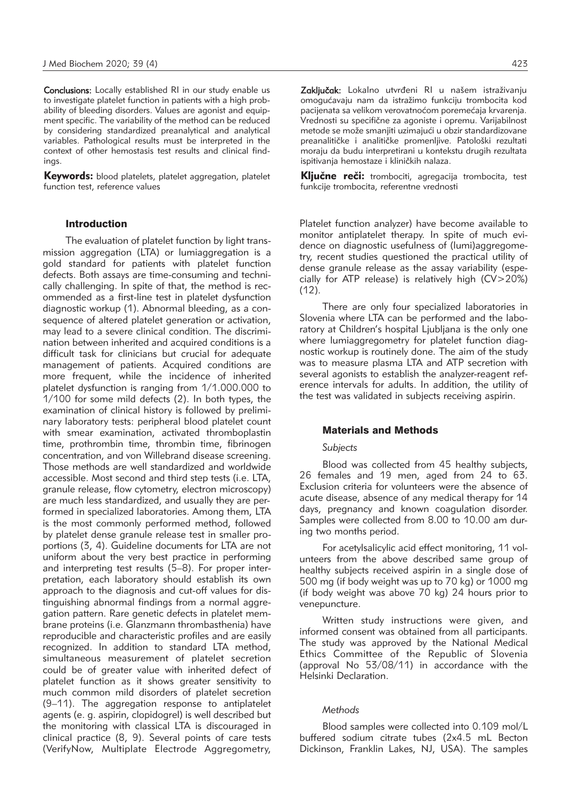Conclusions: Locally established RI in our study enable us to investigate platelet function in patients with a high probability of bleeding disorders. Values are agonist and equipment specific. The variability of the method can be reduced by considering standardized preanalytical and analytical variables. Pathological results must be interpreted in the context of other hemostasis test results and clinical findings.

Keywords: blood platelets, platelet aggregation, platelet function test, reference values

#### Introduction

The evaluation of platelet function by light transmission aggregation (LTA) or lumiaggregation is a gold standard for patients with platelet function defects. Both assays are time-consuming and technically challenging. In spite of that, the method is recommended as a first-line test in platelet dysfunction diagnostic workup (1). Abnormal bleeding, as a consequence of altered platelet generation or activation, may lead to a severe clinical condition. The discrimination between inherited and acquired conditions is a difficult task for clinicians but crucial for adequate management of patients. Acquired conditions are more frequent, while the incidence of inherited platelet dysfunction is ranging from 1/1.000.000 to 1/100 for some mild defects (2). In both types, the examination of clinical history is followed by preliminary laboratory tests: peripheral blood platelet count with smear examination, activated thromboplastin time, prothrombin time, thrombin time, fibrinogen concentration, and von Willebrand disease screening. Those methods are well standardized and worldwide accessible. Most second and third step tests (i.e. LTA, granule release, flow cytometry, electron microscopy) are much less standardized, and usually they are performed in specialized laboratories. Among them, LTA is the most commonly performed method, followed by platelet dense granule release test in smaller proportions (3, 4). Guideline documents for LTA are not uniform about the very best practice in performing and interpreting test results (5–8). For proper interpretation, each laboratory should establish its own approach to the diagnosis and cut-off values for distinguishing abnormal findings from a normal aggregation pattern. Rare genetic defects in platelet membrane proteins (i.e. Glanzmann thrombasthenia) have reproducible and characteristic profiles and are easily recognized. In addition to standard LTA method, simultaneous measurement of platelet secretion could be of greater value with inherited defect of platelet function as it shows greater sensitivity to much common mild disorders of platelet secretion (9–11). The aggregation response to antiplatelet agents (e. g. aspirin, clopidogrel) is well described but the monitoring with classical LTA is discouraged in clinical practice (8, 9). Several points of care tests (VerifyNow, Multiplate Electrode Aggregometry,

Zaključak: Lokalno utvrđeni RI u našem istraživanju omogućavaju nam da istražimo funkciju trombocita kod pacijenata sa velikom verovatnoćom poremećaja krvarenja. Vrednosti su specifične za agoniste i opremu. Varijabilnost metode se može smanjiti uzimajući u obzir standardizovane preanalitičke i analitičke promenljive. Patološki rezultati moraju da budu interpretirani u kontekstu drugih rezultata ispitivanja hemostaze i kliničkih nalaza.

Ključne reči: trombociti, agregacija trombocita, test funkcije trombocita, referentne vrednosti

Platelet function analyzer) have become available to monitor antiplatelet therapy. In spite of much evidence on diagnostic usefulness of (lumi)aggregometry, recent studies questioned the practical utility of dense granule release as the assay variability (especially for ATP release) is relatively high (CV>20%) (12).

There are only four specialized laboratories in Slovenia where LTA can be performed and the laboratory at Children's hospital Ljubljana is the only one where lumiaggregometry for platelet function diagnostic workup is routinely done. The aim of the study was to measure plasma LTA and ATP secretion with several agonists to establish the analyzer-reagent reference intervals for adults. In addition, the utility of the test was validated in subjects receiving aspirin.

#### Materials and Methods

#### *Subjects*

Blood was collected from 45 healthy subjects, 26 females and 19 men, aged from 24 to 63. Exclusion criteria for volunteers were the absence of acute disease, absence of any medical therapy for 14 days, pregnancy and known coagulation disorder. Samples were collected from 8.00 to 10.00 am during two months period.

For acetylsalicylic acid effect monitoring, 11 volunteers from the above described same group of healthy subjects received aspirin in a single dose of 500 mg (if body weight was up to 70 kg) or 1000 mg (if body weight was above 70 kg) 24 hours prior to venepuncture.

Written study instructions were given, and informed consent was obtained from all participants. The study was approved by the National Medical Ethics Committee of the Republic of Slovenia (approval No 53/08/11) in accordance with the Helsinki Declaration.

# *Methods*

Blood samples were collected into 0.109 mol/L buffered sodium citrate tubes (2x4.5 mL Becton Dickinson, Franklin Lakes, NJ, USA). The samples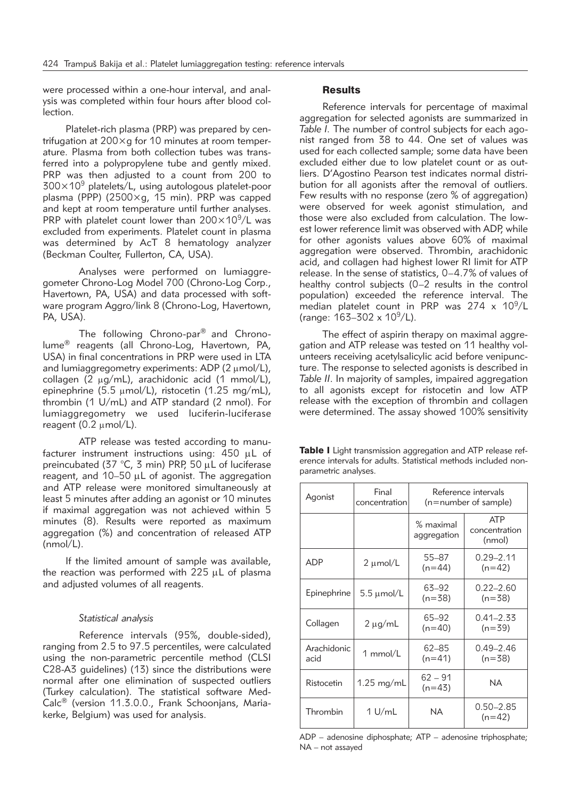were processed within a one-hour interval, and analysis was completed within four hours after blood collection.

Platelet-rich plasma (PRP) was prepared by centrifugation at 200×g for 10 minutes at room temperature. Plasma from both collection tubes was transferred into a polypropylene tube and gently mixed. PRP was then adjusted to a count from 200 to  $300\times10^9$  platelets/L, using autologous platelet-poor plasma (PPP) (2500×g, 15 min). PRP was capped and kept at room temperature until further analyses. PRP with platelet count lower than  $200\times10^9$ /L was excluded from experiments. Platelet count in plasma was determined by AcT 8 hematology analyzer (Beckman Coulter, Fullerton, CA, USA).

Analyses were performed on lumiaggregometer Chrono-Log Model 700 (Chrono-Log Corp., Havertown, PA, USA) and data processed with software program Aggro/link 8 (Chrono-Log, Havertown, PA, USA).

The following Chrono-par® and Chronolume® reagents (all Chrono-Log, Havertown, PA, USA) in final concentrations in PRP were used in LTA and lumiaggregometry experiments: ADP ( $2 \mu$ mol/L), collagen (2  $\mu$ g/mL), arachidonic acid (1 mmol/L), epinephrine (5.5  $\mu$ mol/L), ristocetin (1.25 mg/mL), thrombin (1 U/mL) and ATP standard (2 nmol). For lumiaggregometry we used luciferin-luciferase reagent (0.2  $\mu$ mol/L).

ATP release was tested according to manufacturer instrument instructions using: 450 uL of preincubated (37 °C, 3 min) PRP, 50  $\mu$ L of luciferase reagent, and  $10-50$   $\mu$ L of agonist. The aggregation and ATP release were monitored simultaneously at least 5 minutes after adding an agonist or 10 minutes if maximal aggregation was not achieved within 5 minutes (8). Results were reported as maximum aggregation (%) and concentration of released ATP (nmol/L).

If the limited amount of sample was available, the reaction was performed with  $225 \mu L$  of plasma and adjusted volumes of all reagents.

#### *Statistical analysis*

Reference intervals (95%, double-sided), ranging from 2.5 to 97.5 percentiles, were calculated using the non-parametric percentile method (CLSI C28-A3 guidelines) (13) since the distributions were normal after one elimination of suspected outliers (Turkey calculation). The statistical software Med-Calc<sup>®</sup> (version 11.3.0.0., Frank Schoonjans, Mariakerke, Belgium) was used for analysis.

# **Results**

Reference intervals for percentage of maximal aggregation for selected agonists are summarized in *Table I.* The number of control subjects for each agonist ranged from 38 to 44. One set of values was used for each collected sample; some data have been excluded either due to low platelet count or as outliers. D'Agostino Pearson test indicates normal distribution for all agonists after the removal of outliers. Few results with no response (zero % of aggregation) were observed for week agonist stimulation, and those were also excluded from calculation. The lowest lower reference limit was observed with ADP, while for other agonists values above 60% of maximal aggregation were observed. Thrombin, arachidonic acid, and collagen had highest lower RI limit for ATP release. In the sense of statistics, 0–4.7% of values of healthy control subjects (0–2 results in the control population) exceeded the reference interval. The median platelet count in PRP was  $274 \times 10^9$ /L (range:  $163 - 302 \times 10^9$ /L).

The effect of aspirin therapy on maximal aggregation and ATP release was tested on 11 healthy volunteers receiving acetylsalicylic acid before venipuncture. The response to selected agonists is described in *Table II*. In majority of samples, impaired aggregation to all agonists except for ristocetin and low ATP release with the exception of thrombin and collagen were determined. The assay showed 100% sensitivity

| <b>Table I</b> Light transmission aggregation and ATP release ref- |  |
|--------------------------------------------------------------------|--|
| erence intervals for adults. Statistical methods included non-     |  |
| parametric analyses.                                               |  |

| Agonist             | Final<br>concentration | Reference intervals<br>$(n=number of sample)$ |                                       |  |
|---------------------|------------------------|-----------------------------------------------|---------------------------------------|--|
|                     |                        | % maximal<br>aggregation                      | <b>ATP</b><br>concentration<br>(nmol) |  |
| ADP                 | 2 µmol/L               | 55-87<br>$(n=44)$                             | $0.29 - 2.11$<br>$(n=42)$             |  |
| Epinephrine         | $5.5 \mu$ mol/L        | 63–92<br>$(n=38)$                             | $0.22 - 2.60$<br>$(n=38)$             |  |
| Collagen            | $2 \mu q/mL$           | 65-92<br>$(n=40)$                             | $0.41 - 2.33$<br>$(n=39)$             |  |
| Arachidonic<br>acid | 1 mmol/L               | 62-85<br>$(n=41)$                             | $0.49 - 2.46$<br>$(n=38)$             |  |
| Ristocetin          | $1.25 \text{ mg/mL}$   | 62 – 91<br>$(n=43)$                           | NA                                    |  |
| Thrombin            | 1 U/mL                 | ΝA                                            | $0.50 - 2.85$<br>$(n=42)$             |  |

ADP – adenosine diphosphate; ATP – adenosine triphosphate; NA – not assayed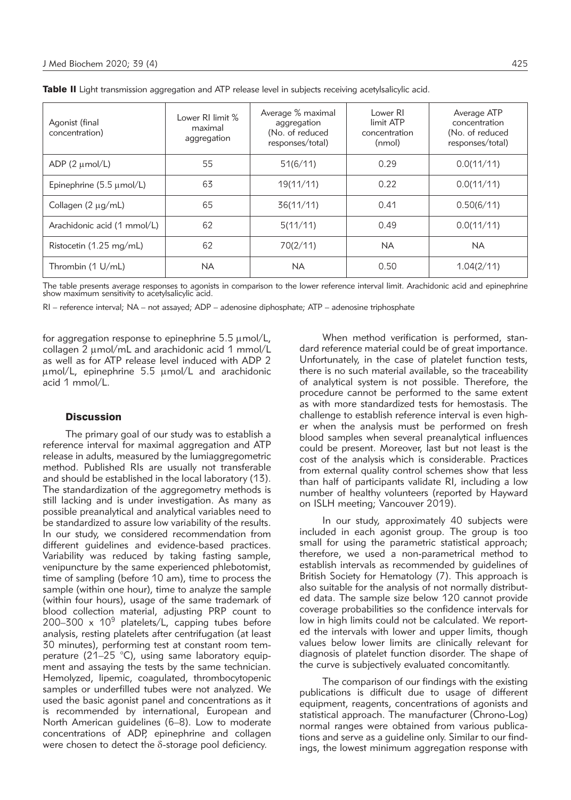| Agonist (final<br>concentration)     | Lower RI limit %<br>maximal<br>aggregation | Average % maximal<br>aggregation<br>(No. of reduced<br>responses/total) | Lower RI<br>limit ATP<br>concentration<br>(nmol) | Average ATP<br>concentration<br>(No. of reduced<br>responses/total) |
|--------------------------------------|--------------------------------------------|-------------------------------------------------------------------------|--------------------------------------------------|---------------------------------------------------------------------|
| ADP $(2 \mu mol/L)$                  | 55                                         | 51(6/11)                                                                | 0.29                                             | 0.0(11/11)                                                          |
| Epinephrine $(5.5 \mu \text{mol/L})$ | 63                                         | 19(11/11)                                                               | 0.22                                             | 0.0(11/11)                                                          |
| Collagen $(2 \mu g/mL)$              | 65                                         | 36(11/11)                                                               | 0.41                                             | 0.50(6/11)                                                          |
| Arachidonic acid (1 mmol/L)          | 62                                         | 5(11/11)                                                                | 0.49                                             | 0.0(11/11)                                                          |
| Ristocetin (1.25 mg/mL)              | 62                                         | 70(2/11)                                                                | <b>NA</b>                                        | <b>NA</b>                                                           |
| Thrombin (1 U/mL)                    | <b>NA</b>                                  | NA.                                                                     | 0.50                                             | 1.04(2/11)                                                          |

The table presents average responses to agonists in comparison to the lower reference interval limit. Arachidonic acid and epinephrine<br>show maximum sensitivity to acetylsalicylic acid.

RI – reference interval; NA – not assayed; ADP – adenosine diphosphate; ATP – adenosine triphosphate

for aggregation response to epinephrine  $5.5 \mu$ mol/L, collagen  $2 \mu$ mol/mL and arachidonic acid 1 mmol/L as well as for ATP release level induced with ADP 2  $\mu$ mol/L, epinephrine 5.5  $\mu$ mol/L and arachidonic acid 1 mmol/L.

#### **Discussion**

The primary goal of our study was to establish a reference interval for maximal aggregation and ATP release in adults, measured by the lumiaggregometric method. Published RIs are usually not transferable and should be established in the local laboratory (13). The standardization of the aggregometry methods is still lacking and is under investigation. As many as possible preanalytical and analytical variables need to be standardized to assure low variability of the results. In our study, we considered recommendation from different guidelines and evidence-based practices. Variability was reduced by taking fasting sample, venipuncture by the same experienced phlebotomist, time of sampling (before 10 am), time to process the sample (within one hour), time to analyze the sample (within four hours), usage of the same trademark of blood collection material, adjusting PRP count to 200–300  $\times$  10<sup>9</sup> platelets/L, capping tubes before analysis, resting platelets after centrifugation (at least 30 minutes), performing test at constant room temperature (21–25 °C), using same laboratory equipment and assaying the tests by the same technician. Hemolyzed, lipemic, coagulated, thrombocytopenic samples or underfilled tubes were not analyzed. We used the basic agonist panel and concentrations as it is recommended by international, European and North American guidelines (6–8). Low to moderate concentrations of ADP, epinephrine and collagen were chosen to detect the  $\delta$ -storage pool deficiency.

When method verification is performed, standard reference material could be of great importance. Unfortunately, in the case of platelet function tests, there is no such material available, so the traceability of analytical system is not possible. Therefore, the procedure cannot be performed to the same extent as with more standardized tests for hemostasis. The challenge to establish reference interval is even higher when the analysis must be performed on fresh blood samples when several preanalytical influences could be present. Moreover, last but not least is the cost of the analysis which is considerable. Practices from external quality control schemes show that less than half of participants validate RI, including a low number of healthy volunteers (reported by Hayward on ISLH meeting; Vancouver 2019).

In our study, approximately 40 subjects were included in each agonist group. The group is too small for using the parametric statistical approach; therefore, we used a non-parametrical method to establish intervals as recommended by guidelines of British Society for Hematology (7). This approach is also suitable for the analysis of not normally distributed data. The sample size below 120 cannot provide coverage probabilities so the confidence intervals for low in high limits could not be calculated. We reported the intervals with lower and upper limits, though values below lower limits are clinically relevant for diagnosis of platelet function disorder. The shape of the curve is subjectively evaluated concomitantly.

The comparison of our findings with the existing publications is difficult due to usage of different equipment, reagents, concentrations of agonists and statistical approach. The manufacturer (Chrono-Log) normal ranges were obtained from various publications and serve as a guideline only. Similar to our findings, the lowest minimum aggregation response with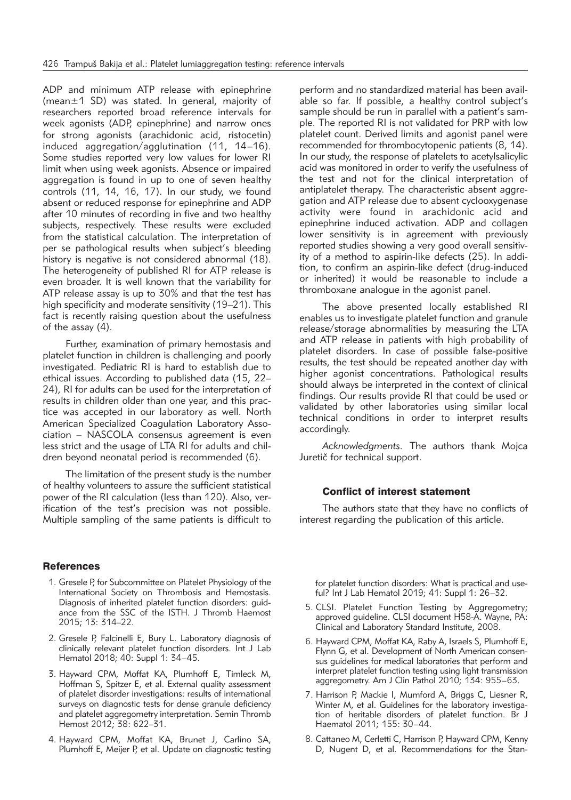ADP and minimum ATP release with epinephrine (mean±1 SD) was stated. In general, majority of researchers reported broad reference intervals for week agonists (ADP, epinephrine) and narrow ones for strong agonists (arachidonic acid, ristocetin) induced aggregation/agglutination (11, 14–16). Some studies reported very low values for lower RI limit when using week agonists. Absence or impaired aggregation is found in up to one of seven healthy controls (11, 14, 16, 17). In our study, we found absent or reduced response for epinephrine and ADP after 10 minutes of recording in five and two healthy subjects, respectively. These results were excluded from the statistical calculation. The interpretation of per se pathological results when subject's bleeding history is negative is not considered abnormal (18). The heterogeneity of published RI for ATP release is even broader. It is well known that the variability for ATP release assay is up to 30% and that the test has high specificity and moderate sensitivity (19–21). This fact is recently raising question about the usefulness of the assay (4).

Further, examination of primary hemostasis and platelet function in children is challenging and poorly investigated. Pediatric RI is hard to establish due to ethical issues. According to published data (15, 22– 24), RI for adults can be used for the interpretation of results in children older than one year, and this practice was accepted in our laboratory as well. North American Specialized Coagulation Laboratory Association – NASCOLA consensus agreement is even less strict and the usage of LTA RI for adults and children beyond neonatal period is recommended (6).

The limitation of the present study is the number of healthy volunteers to assure the sufficient statistical power of the RI calculation (less than 120). Also, verification of the test's precision was not possible. Multiple sampling of the same patients is difficult to

# **References**

- 1. Gresele P, for Subcommittee on Platelet Physiology of the International Society on Thrombosis and Hemostasis. Diagnosis of inherited platelet function disorders: guidance from the SSC of the ISTH. J Thromb Haemost 2015; 13: 314–22.
- 2. Gresele P, Falcinelli E, Bury L. Laboratory diagnosis of clinically relevant platelet function disorders. Int J Lab Hematol 2018; 40: Suppl 1: 34–45.
- 3. Hayward CPM, Moffat KA, Plumhoff E, Timleck M, Hoffman S, Spitzer E, et al. External quality assessment of platelet disorder investigations: results of international surveys on diagnostic tests for dense granule deficiency and platelet aggregometry interpretation. Semin Thromb Hemost 2012; 38: 622–31.
- 4. Hayward CPM, Moffat KA, Brunet J, Carlino SA, Plumhoff E, Meijer P, et al. Update on diagnostic testing

perform and no standardized material has been available so far. If possible, a healthy control subject's sample should be run in parallel with a patient's sample. The reported RI is not validated for PRP with low platelet count. Derived limits and agonist panel were recommended for thrombocytopenic patients (8, 14). In our study, the response of platelets to acetylsalicylic acid was monitored in order to verify the usefulness of the test and not for the clinical interpretation of antiplatelet therapy. The characteristic absent aggregation and ATP release due to absent cyclooxygenase activity were found in arachidonic acid and epinephrine induced activation. ADP and collagen lower sensitivity is in agreement with previously reported studies showing a very good overall sensitivity of a method to aspirin-like defects (25). In addition, to confirm an aspirin-like defect (drug-induced or inherited) it would be reasonable to include a thromboxane analogue in the agonist panel.

The above presented locally established RI enables us to investigate platelet function and granule release/storage abnormalities by measuring the LTA and ATP release in patients with high probability of platelet disorders. In case of possible false-positive results, the test should be repeated another day with higher agonist concentrations. Pathological results should always be interpreted in the context of clinical findings. Our results provide RI that could be used or validated by other laboratories using similar local technical conditions in order to interpret results accordingly.

*Acknowledgments.* The authors thank Mojca Juretič for technical support.

### Conflict of interest statement

The authors state that they have no conflicts of interest regarding the publication of this article.

for platelet function disorders: What is practical and useful? Int J Lab Hematol 2019; 41: Suppl 1: 26–32.

- 5. CLSI. Platelet Function Testing by Aggregometry; approved guideline. CLSI document H58-A. Wayne, PA: Clinical and Laboratory Standard Institute, 2008.
- 6. Hayward CPM, Moffat KA, Raby A, Israels S, Plumhoff E, Flynn G, et al. Development of North American consensus guidelines for medical laboratories that perform and interpret platelet function testing using light transmission aggregometry. Am J Clin Pathol 2010; 134: 955–63.
- 7. Harrison P, Mackie I, Mumford A, Briggs C, Liesner R, Winter M, et al. Guidelines for the laboratory investigation of heritable disorders of platelet function. Br J Haematol 2011; 155: 30–44.
- 8. Cattaneo M, Cerletti C, Harrison P, Hayward CPM, Kenny D, Nugent D, et al. Recommendations for the Stan-